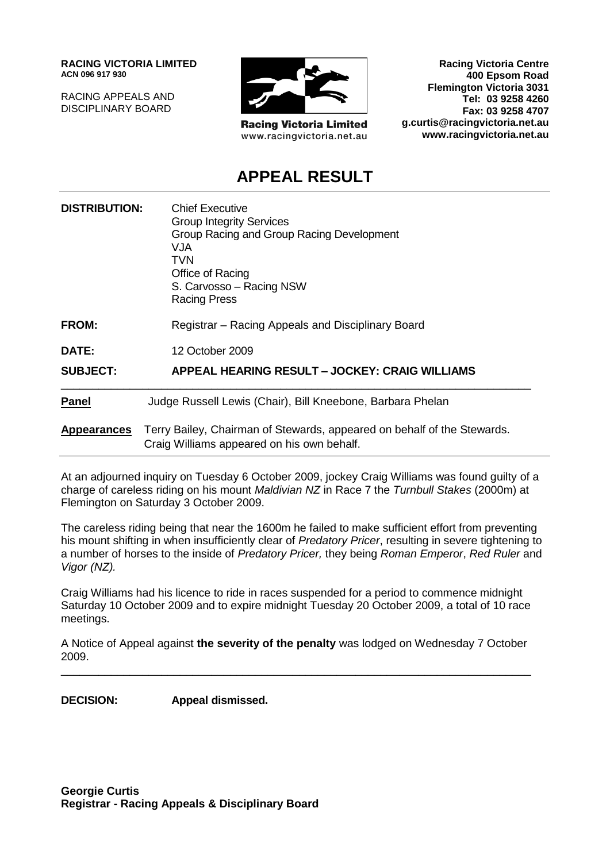**RACING VICTORIA LIMITED ACN 096 917 930**

RACING APPEALS AND DISCIPLINARY BOARD



**Racing Victoria Limited** www.racingvictoria.net.au

**Racing Victoria Centre 400 Epsom Road Flemington Victoria 3031 Tel: 03 9258 4260 Fax: 03 9258 4707 g.curtis@racingvictoria.net.au www.racingvictoria.net.au**

## **APPEAL RESULT**

| <b>DISTRIBUTION:</b> | <b>Chief Executive</b><br><b>Group Integrity Services</b><br>Group Racing and Group Racing Development<br>VJA.<br>TVN<br>Office of Racing<br>S. Carvosso - Racing NSW<br><b>Racing Press</b> |
|----------------------|----------------------------------------------------------------------------------------------------------------------------------------------------------------------------------------------|
| <b>FROM:</b>         | Registrar – Racing Appeals and Disciplinary Board                                                                                                                                            |
| <b>DATE:</b>         | 12 October 2009                                                                                                                                                                              |
| <b>SUBJECT:</b>      | <b>APPEAL HEARING RESULT – JOCKEY: CRAIG WILLIAMS</b>                                                                                                                                        |
| <b>Panel</b>         | Judge Russell Lewis (Chair), Bill Kneebone, Barbara Phelan                                                                                                                                   |
| <b>Appearances</b>   | Terry Bailey, Chairman of Stewards, appeared on behalf of the Stewards.<br>Craig Williams appeared on his own behalf.                                                                        |

At an adjourned inquiry on Tuesday 6 October 2009, jockey Craig Williams was found guilty of a charge of careless riding on his mount *Maldivian NZ* in Race 7 the *Turnbull Stakes* (2000m) at Flemington on Saturday 3 October 2009.

The careless riding being that near the 1600m he failed to make sufficient effort from preventing his mount shifting in when insufficiently clear of *Predatory Pricer*, resulting in severe tightening to a number of horses to the inside of *Predatory Pricer,* they being *Roman Emperor*, *Red Ruler* and *Vigor (NZ).*

Craig Williams had his licence to ride in races suspended for a period to commence midnight Saturday 10 October 2009 and to expire midnight Tuesday 20 October 2009, a total of 10 race meetings.

A Notice of Appeal against **the severity of the penalty** was lodged on Wednesday 7 October 2009. \_\_\_\_\_\_\_\_\_\_\_\_\_\_\_\_\_\_\_\_\_\_\_\_\_\_\_\_\_\_\_\_\_\_\_\_\_\_\_\_\_\_\_\_\_\_\_\_\_\_\_\_\_\_\_\_\_\_\_\_\_\_\_\_\_\_\_\_\_\_\_\_\_\_\_

**DECISION: Appeal dismissed.**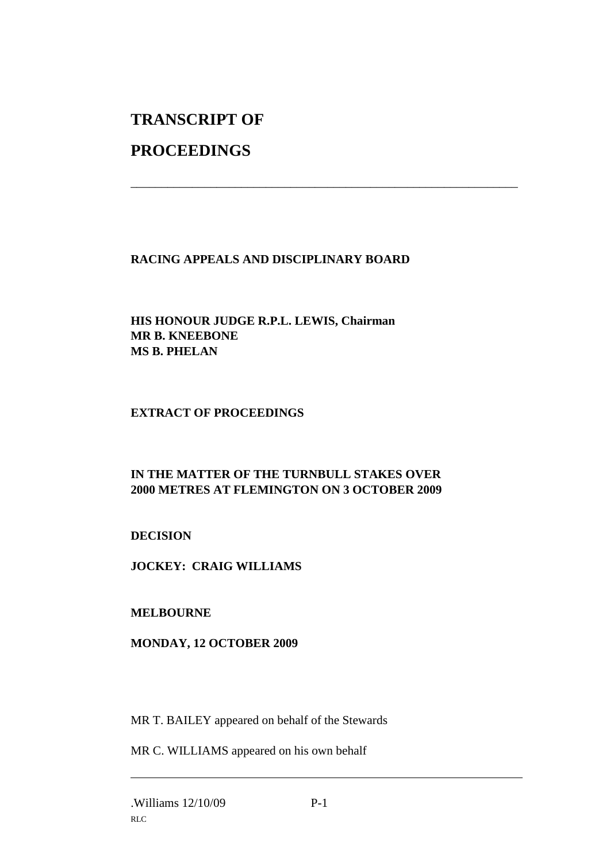# **TRANSCRIPT OF**

## **PROCEEDINGS**

### **RACING APPEALS AND DISCIPLINARY BOARD**

\_\_\_\_\_\_\_\_\_\_\_\_\_\_\_\_\_\_\_\_\_\_\_\_\_\_\_\_\_\_\_\_\_\_\_\_\_\_\_\_\_\_\_\_\_\_\_\_\_\_\_\_\_\_\_\_\_\_\_\_\_\_\_

#### **HIS HONOUR JUDGE R.P.L. LEWIS, Chairman MR B. KNEEBONE MS B. PHELAN**

#### **EXTRACT OF PROCEEDINGS**

#### **IN THE MATTER OF THE TURNBULL STAKES OVER 2000 METRES AT FLEMINGTON ON 3 OCTOBER 2009**

#### **DECISION**

**JOCKEY: CRAIG WILLIAMS**

#### **MELBOURNE**

#### **MONDAY, 12 OCTOBER 2009**

MR T. BAILEY appeared on behalf of the Stewards

MR C. WILLIAMS appeared on his own behalf